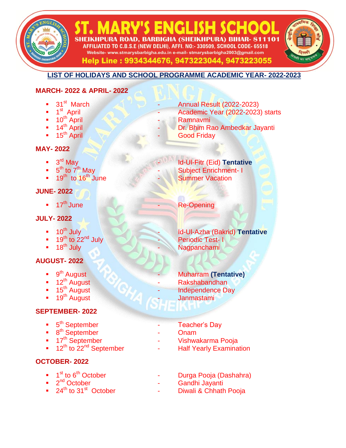# 24<sup>th</sup> to 31<sup>st</sup> October - Diwali & Chhath Pooja

- $\blacksquare$  2<sup>nd</sup> October
- 
- 
- $\blacksquare$  1<sup>st</sup> to 6
- 
- 

## **OCTOBER- 2022**

- 12<sup>th</sup> to 22<sup>nd</sup> September Half Yearly Examination
- 17<sup>th</sup> September **19th September** 17th September 17th September
- **a**  $8^{th}$  September **1997** Onam
- 
- 5<sup>th</sup> September Teacher's Day

## **SEPTEMBER- 2022**

- 19<sup>th</sup> August Janmastami
- 
- 12<sup>th</sup> August<br>■ 15<sup>th</sup> August
- 
- 9<sup>th</sup> August
- 
- 
- 
- 
- **AUGUST- 2022**
- 
- 
- **18<sup>th</sup> July 18th Street Contract Contract Contract Contract Contract Contract Contract Contract Contract Contract Contract Contract Contract Contract Contract Contract Contract Contract Contract Contract Contract Contract**
- 19<sup>th</sup> to 22<sup>nd</sup> July<br>18<sup>th</sup> July
- 
- 
- 10<sup>th</sup> July **10th July 10th Access 10th July 10th July 10th July 10th Azha (Bakrid) <b>Tentative**
- 

## **JULY- 2022**

- 
- 17<sup>th</sup> June

# **JUNE- 2022**

- 
- 19<sup>th</sup> to 16<sup>th</sup> June
- $5<sup>th</sup>$  to  $7<sup>th</sup>$  May
- 

**MAY- 2022**

- 
- 
- 
- 
- 
- 
- 
- 
- 
- 
- $3<sup>rd</sup>$  May
- 
- 
- 
- 
- 
- 
- 
- 
- 
- 
- 
- 
- 

1<sup>st</sup> April

- 
- 
- 
- 
- 
- 
- 
- 
- 
- 
- 
- 
- 
- 

**MARCH- 2022 & APRIL- 2022**

**LIST OF HOLIDAYS AND SCHOOL PROGRAMME ACADEMIC YEAR- 2022-2023**

VIS ENGLISEL SHEIKHPURA ROAD, BARBIGHA (SHEIKHPURA) BIHAR- 811101 AFFILIATED TO C.B.S.E (NEW DELHI), AFFI. NO:- 330509, SCHOOL CODE- 65518 Website- www.stmarysbarbigha.edu.in e-mail- stmarysbarbigha2003@gmail.com Help Line: 9934344676, 9473223044, 9473223055

Academic Year (2022-2023) starts

Dr. Bhim Rao Ambedkar Jayanti

**Id-UI-Fitr (Eid) Tentative** 

Subject Enrichment- I<br>Summer Vacation

Re-Opening

Periodic Test- I

Rakshabandhan Independence Day

**Muharram (Tentative)** 

Durga Pooja (Dashahra)

Gandhi Jayanti

31<sup>st</sup> March **Annual Result (2022-2023)** 

10<sup>th</sup> April Ramnavmi<br>14<sup>th</sup> April - Ramnavmi<br>Dr. Bhim R.

15<sup>th</sup> April **15th April 15th April 15th April 15th April 15th April 15th April 15th April 15th April 16th April 16th April 16th April 16th April 16th April 16th April 16th April 16th April 16th April 16th April 16th April**